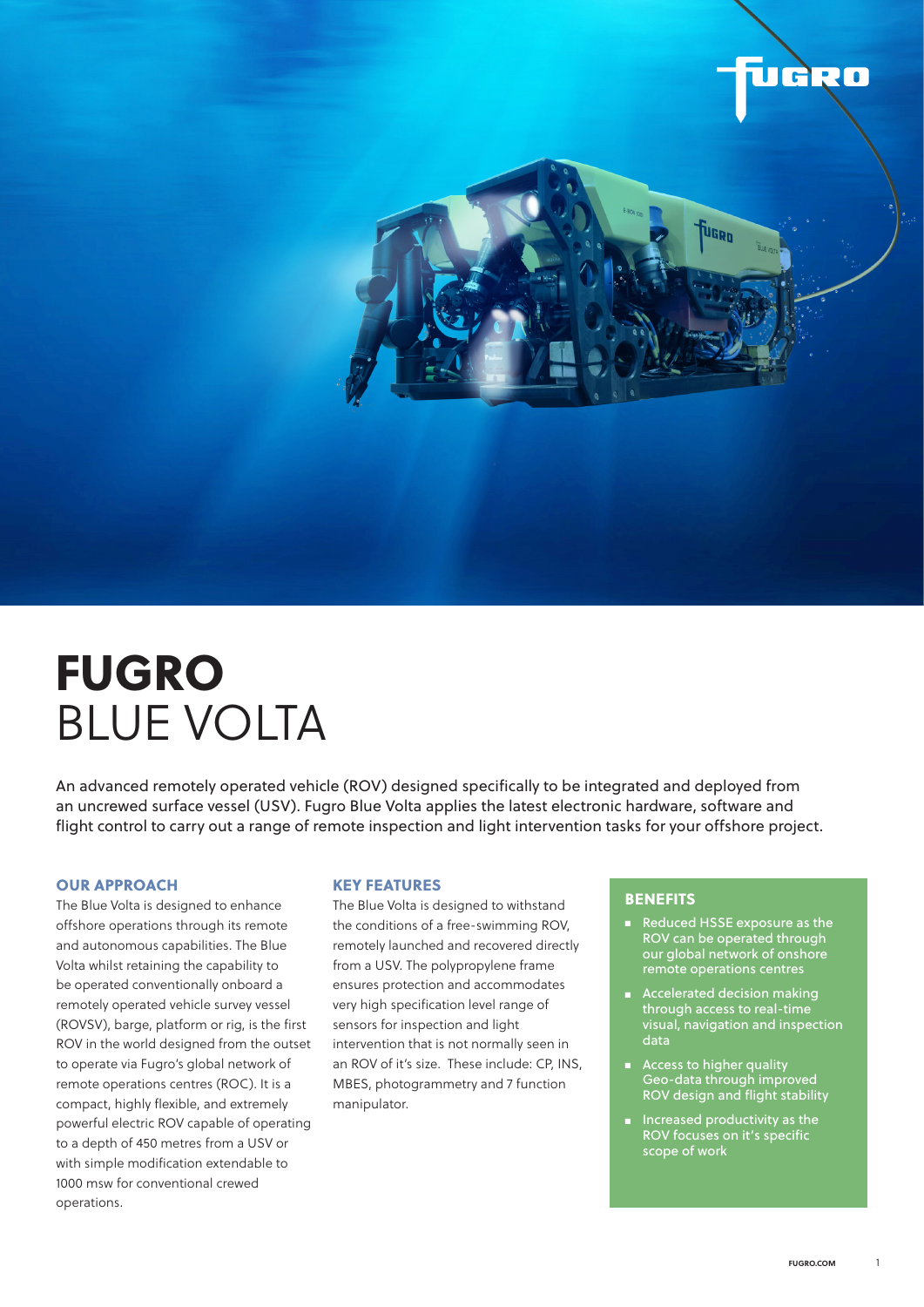

# FUGRO BLUE VOLTA

An advanced remotely operated vehicle (ROV) designed specifically to be integrated and deployed from an uncrewed surface vessel (USV). Fugro Blue Volta applies the latest electronic hardware, software and flight control to carry out a range of remote inspection and light intervention tasks for your offshore project.

#### OUR APPROACH

The Blue Volta is designed to enhance offshore operations through its remote and autonomous capabilities. The Blue Volta whilst retaining the capability to be operated conventionally onboard a remotely operated vehicle survey vessel (ROVSV), barge, platform or rig, is the first ROV in the world designed from the outset to operate via Fugro's global network of remote operations centres (ROC). It is a compact, highly flexible, and extremely powerful electric ROV capable of operating to a depth of 450 metres from a USV or with simple modification extendable to 1000 msw for conventional crewed operations.

#### KEY FEATURES

The Blue Volta is designed to withstand the conditions of a free-swimming ROV, remotely launched and recovered directly from a USV. The polypropylene frame ensures protection and accommodates very high specification level range of sensors for inspection and light intervention that is not normally seen in an ROV of it's size. These include: CP, INS, MBES, photogrammetry and 7 function manipulator.

#### **BENEFITS**

- Reduced HSSE exposure as the ROV can be operated through our global network of onshore remote operations centres
- Accelerated decision making through access to real-time visual, navigation and inspection data
- Access to higher quality Geo-data through improved ROV design and flight stability
- Increased productivity as the ROV focuses on it's specific scope of work